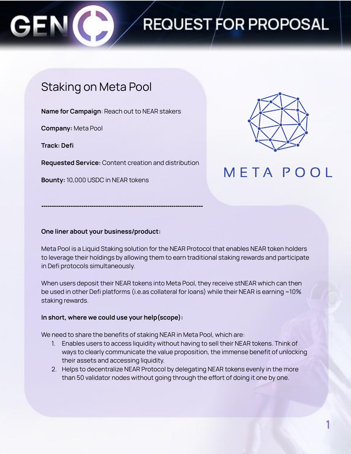

# **REQUEST FOR PROPOSAL**

### Staking on Meta Pool

**Name for Campaign**: Reach out to NEAR stakers

**Company:** Meta Pool

**Track: Defi**

**Requested Service:** Content creation and distribution

**-----------------------------------------------------------------------------**

**Bounty:** 10,000 USDC in NEAR tokens



### **META POOL**

#### **One liner about your business/product:**

Meta Pool is a Liquid Staking solution for the NEAR Protocol that enables NEAR token holders to leverage their holdings by allowing them to earn traditional staking rewards and participate in Defi protocols simultaneously.

When users deposit their NEAR tokens into Meta Pool, they receive stNEAR which can then be used in other Defi platforms (i.e.as collateral for loans) while their NEAR is earning ~10% staking rewards.

#### **In short, where we could use your help(scope):**

We need to share the benefits of staking NEAR in Meta Pool, which are:

- 1. Enables users to access liquidity without having to sell their NEAR tokens. Think of ways to clearly communicate the value proposition, the immense benefit of unlocking their assets and accessing liquidity.
- 2. Helps to decentralize NEAR Protocol by delegating NEAR tokens evenly in the more than 50 validator nodes without going through the effort of doing it one by one.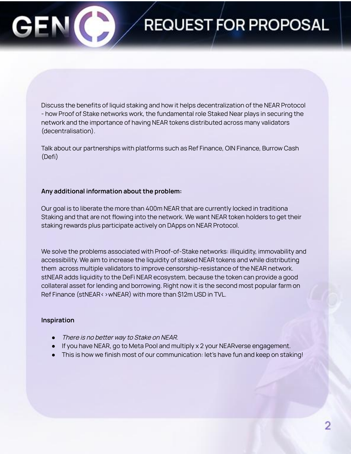# **REQUEST FOR PROPOSAL**

Discuss the benefits of liquid staking and how it helps decentralization of the NEAR Protocol - how Proof of Stake networks work, the fundamental role Staked Near plays in securing the network and the importance of having NEAR tokens distributed across many validators (decentralisation).

Talk about our partnerships with platforms such as Ref Finance, OIN Finance, Burrow Cash (Defi)

#### **Any additional information about the problem:**

Our goal is to liberate the more than 400m NEAR that are currently locked in traditiona Staking and that are not flowing into the network. We want NEAR token holders to get their staking rewards plus participate actively on DApps on NEAR Protocol.

We solve the problems associated with Proof-of-Stake networks: illiquidity, immovability and accessibility. We aim to increase the liquidity of staked NEAR tokens and while distributing them across multiple validators to improve censorship-resistance of the NEAR network. stNEAR adds liquidity to the DeFi NEAR ecosystem, because the token can provide a good collateral asset for lending and borrowing. Right now it is the second most popular farm on Ref Finance (stNEAR<>wNEAR) with more than \$12m USD in TVL.

#### **Inspiration**

- There is no better way to Stake on NEAR.
- If you have NEAR, go to Meta Pool and multiply x 2 your NEARverse engagement.
- This is how we finish most of our communication: let's have fun and keep on staking!